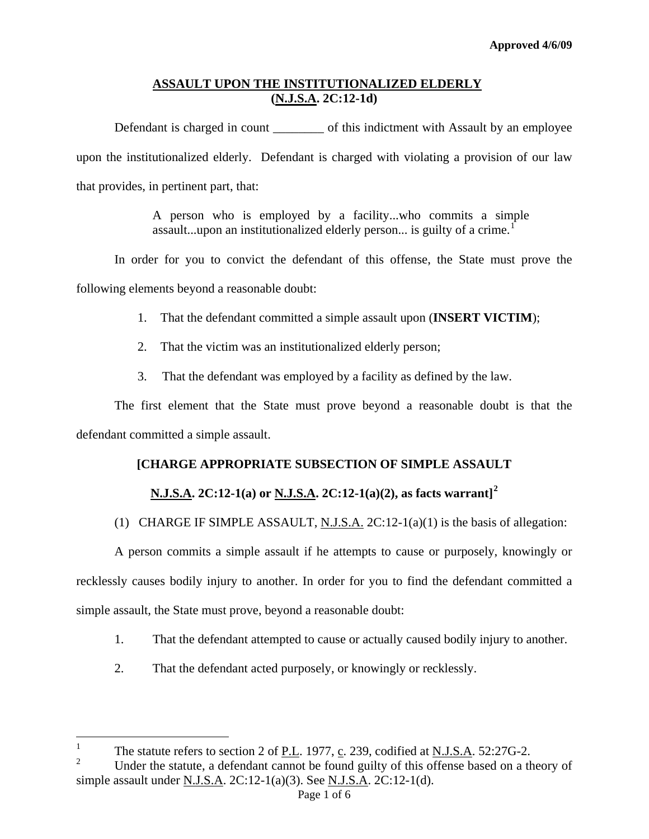Defendant is charged in count \_\_\_\_\_\_\_\_\_\_ of this indictment with Assault by an employee upon the institutionalized elderly. Defendant is charged with violating a provision of our law that provides, in pertinent part, that:

> A person who is employed by a facility...who commits a simple assault...upon an institutionalized elderly person... is guilty of a crime.<sup>[1](#page-0-0)</sup>

 In order for you to convict the defendant of this offense, the State must prove the following elements beyond a reasonable doubt:

- 1. That the defendant committed a simple assault upon (**INSERT VICTIM**);
- 2. That the victim was an institutionalized elderly person;
- 3. That the defendant was employed by a facility as defined by the law.

The first element that the State must prove beyond a reasonable doubt is that the defendant committed a simple assault.

## **[CHARGE APPROPRIATE SUBSECTION OF SIMPLE ASSAULT**

# **N.J.S.A. 2C:12-1(a) or N.J.S.A. 2C:12-1(a)(2), as facts warrant][2](#page-0-1)**

## (1) CHARGE IF SIMPLE ASSAULT, N.J.S.A.  $2C:12-1(a)(1)$  is the basis of allegation:

A person commits a simple assault if he attempts to cause or purposely, knowingly or recklessly causes bodily injury to another. In order for you to find the defendant committed a simple assault, the State must prove, beyond a reasonable doubt:

- 1. That the defendant attempted to cause or actually caused bodily injury to another.
- 2. That the defendant acted purposely, or knowingly or recklessly.

 $\frac{1}{1}$ The statute refers to section 2 of P.L. 1977, c. 239, codified at N.J.S.A. 52:27G-2.

<span id="page-0-2"></span><span id="page-0-1"></span><span id="page-0-0"></span><sup>2</sup> Under the statute, a defendant cannot be found guilty of this offense based on a theory of simple assault under N.J.S.A. 2C:12-1(a)(3). See N.J.S.A. 2C:12-1(d).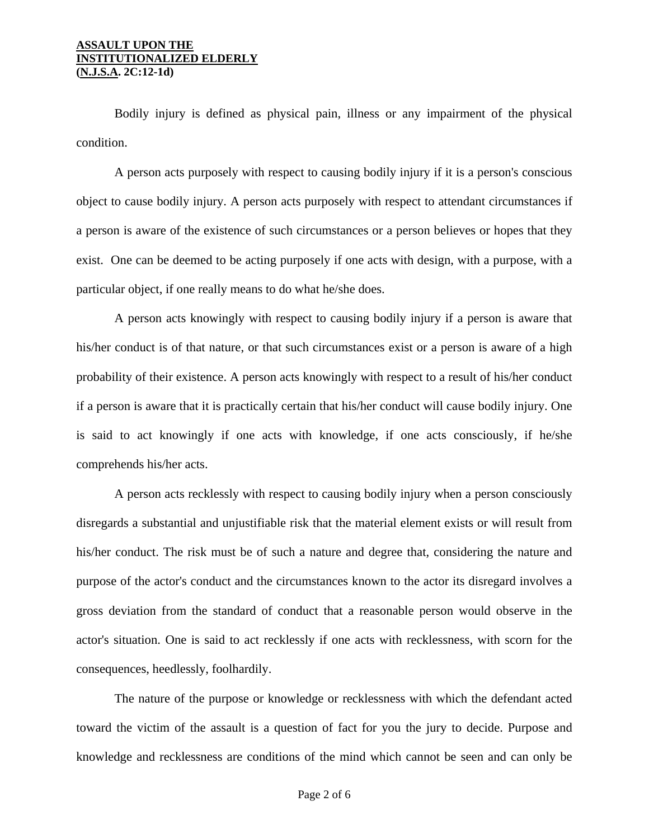Bodily injury is defined as physical pain, illness or any impairment of the physical condition.

A person acts purposely with respect to causing bodily injury if it is a person's conscious object to cause bodily injury. A person acts purposely with respect to attendant circumstances if a person is aware of the existence of such circumstances or a person believes or hopes that they exist. One can be deemed to be acting purposely if one acts with design, with a purpose, with a particular object, if one really means to do what he/she does.

A person acts knowingly with respect to causing bodily injury if a person is aware that his/her conduct is of that nature, or that such circumstances exist or a person is aware of a high probability of their existence. A person acts knowingly with respect to a result of his/her conduct if a person is aware that it is practically certain that his/her conduct will cause bodily injury. One is said to act knowingly if one acts with knowledge, if one acts consciously, if he/she comprehends his/her acts.

A person acts recklessly with respect to causing bodily injury when a person consciously disregards a substantial and unjustifiable risk that the material element exists or will result from his/her conduct. The risk must be of such a nature and degree that, considering the nature and purpose of the actor's conduct and the circumstances known to the actor its disregard involves a gross deviation from the standard of conduct that a reasonable person would observe in the actor's situation. One is said to act recklessly if one acts with recklessness, with scorn for the consequences, heedlessly, foolhardily.

The nature of the purpose or knowledge or recklessness with which the defendant acted toward the victim of the assault is a question of fact for you the jury to decide. Purpose and knowledge and recklessness are conditions of the mind which cannot be seen and can only be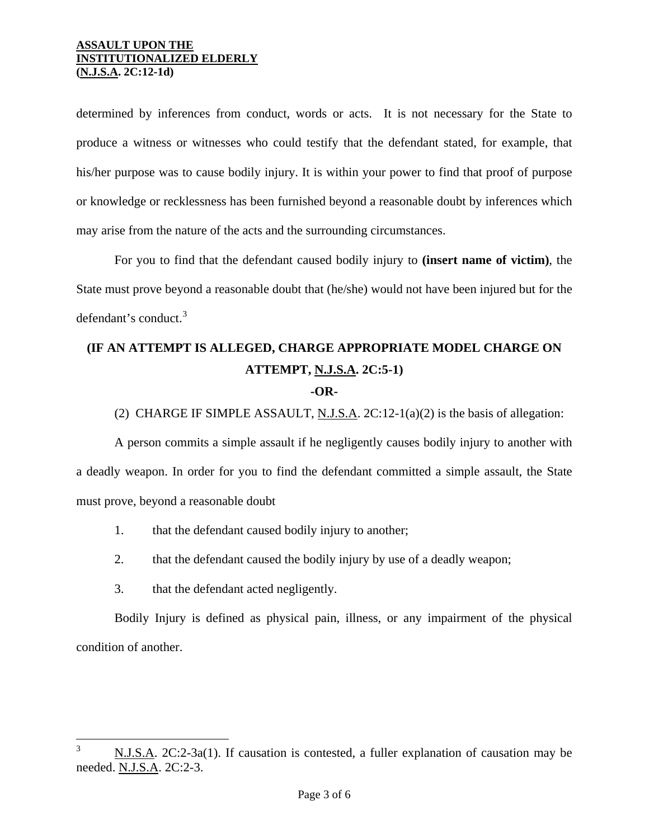determined by inferences from conduct, words or acts. It is not necessary for the State to produce a witness or witnesses who could testify that the defendant stated, for example, that his/her purpose was to cause bodily injury. It is within your power to find that proof of purpose or knowledge or recklessness has been furnished beyond a reasonable doubt by inferences which may arise from the nature of the acts and the surrounding circumstances.

For you to find that the defendant caused bodily injury to **(insert name of victim)**, the State must prove beyond a reasonable doubt that (he/she) would not have been injured but for the defendant's conduct. $3$ 

# **(IF AN ATTEMPT IS ALLEGED, CHARGE APPROPRIATE MODEL CHARGE ON ATTEMPT, N.J.S.A. 2C:5-1)**

### **-OR-**

(2) CHARGE IF SIMPLE ASSAULT, N.J.S.A. 2C:12-1(a)(2) is the basis of allegation:

A person commits a simple assault if he negligently causes bodily injury to another with a deadly weapon. In order for you to find the defendant committed a simple assault, the State must prove, beyond a reasonable doubt

- 1. that the defendant caused bodily injury to another;
- 2. that the defendant caused the bodily injury by use of a deadly weapon;
- 3. that the defendant acted negligently.

Bodily Injury is defined as physical pain, illness, or any impairment of the physical condition of another.

<span id="page-2-0"></span> $\frac{1}{3}$  N.J.S.A. 2C:2-3a(1). If causation is contested, a fuller explanation of causation may be needed. N.J.S.A. 2C:2-3.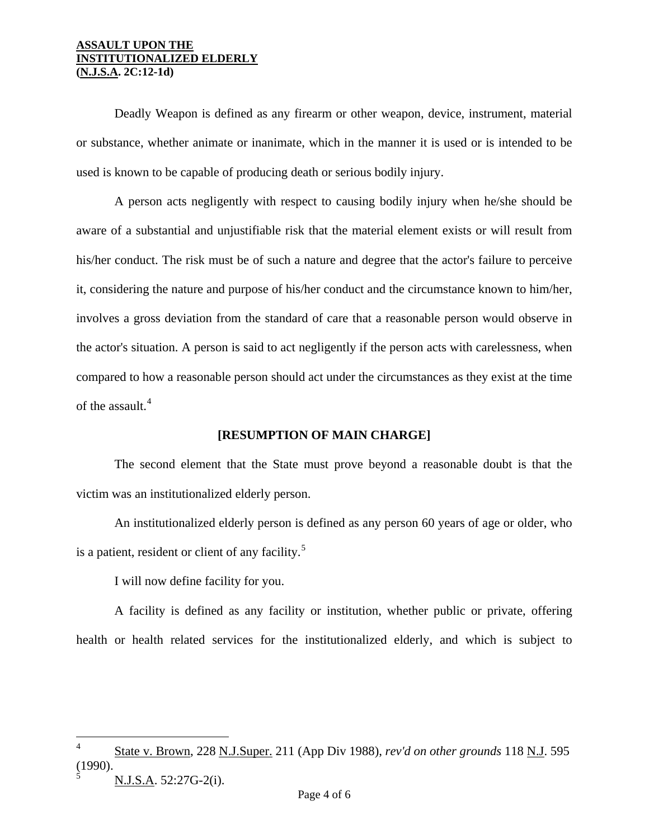Deadly Weapon is defined as any firearm or other weapon, device, instrument, material or substance, whether animate or inanimate, which in the manner it is used or is intended to be used is known to be capable of producing death or serious bodily injury.

 A person acts negligently with respect to causing bodily injury when he/she should be aware of a substantial and unjustifiable risk that the material element exists or will result from his/her conduct. The risk must be of such a nature and degree that the actor's failure to perceive it, considering the nature and purpose of his/her conduct and the circumstance known to him/her, involves a gross deviation from the standard of care that a reasonable person would observe in the actor's situation. A person is said to act negligently if the person acts with carelessness, when compared to how a reasonable person should act under the circumstances as they exist at the time of the assault.<sup>[4](#page-2-0)</sup>

### **[RESUMPTION OF MAIN CHARGE]**

 The second element that the State must prove beyond a reasonable doubt is that the victim was an institutionalized elderly person.

 An institutionalized elderly person is defined as any person 60 years of age or older, who is a patient, resident or client of any facility.<sup>[5](#page-3-0)</sup>

I will now define facility for you.

<span id="page-3-1"></span> A facility is defined as any facility or institution, whether public or private, offering health or health related services for the institutionalized elderly, and which is subject to

N.J.S.A. 52:27G-2(i).

i

<span id="page-3-0"></span><sup>4</sup> State v. Brown, 228 N.J.Super. 211 (App Div 1988), *rev'd on other grounds* 118 N.J. 595 (1990). 5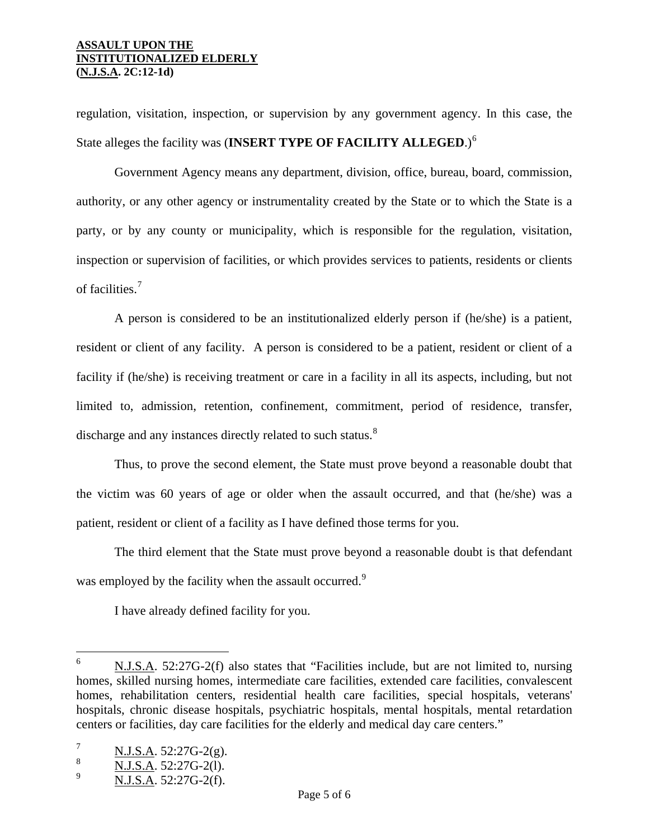regulation, visitation, inspection, or supervision by any government agency. In this case, the State alleges the facility was (**INSERT TYPE OF FACILITY ALLEGED**.)[6](#page-3-1)

 Government Agency means any department, division, office, bureau, board, commission, authority, or any other agency or instrumentality created by the State or to which the State is a party, or by any county or municipality, which is responsible for the regulation, visitation, inspection or supervision of facilities, or which provides services to patients, residents or clients of facilities.[7](#page-4-0)

 A person is considered to be an institutionalized elderly person if (he/she) is a patient, resident or client of any facility. A person is considered to be a patient, resident or client of a facility if (he/she) is receiving treatment or care in a facility in all its aspects, including, but not limited to, admission, retention, confinement, commitment, period of residence, transfer, discharge and any instances directly related to such status.<sup>[8](#page-4-1)</sup>

 Thus, to prove the second element, the State must prove beyond a reasonable doubt that the victim was 60 years of age or older when the assault occurred, and that (he/she) was a patient, resident or client of a facility as I have defined those terms for you.

The third element that the State must prove beyond a reasonable doubt is that defendant was employed by the facility when the assault occurred.<sup>[9](#page-4-2)</sup>

I have already defined facility for you.

i<br>Li

<sup>6</sup> N.J.S.A. 52:27G-2(f) also states that "Facilities include, but are not limited to, nursing homes, skilled nursing homes, intermediate care facilities, extended care facilities, convalescent homes, rehabilitation centers, residential health care facilities, special hospitals, veterans' hospitals, chronic disease hospitals, psychiatric hospitals, mental hospitals, mental retardation centers or facilities, day care facilities for the elderly and medical day care centers."

<span id="page-4-0"></span><sup>7</sup> N.J.S.A. 52:27G-2(g).

<span id="page-4-1"></span><sup>8</sup> N.J.S.A. 52:27G-2(l).

<span id="page-4-2"></span><sup>9</sup> N.J.S.A. 52:27G-2(f).